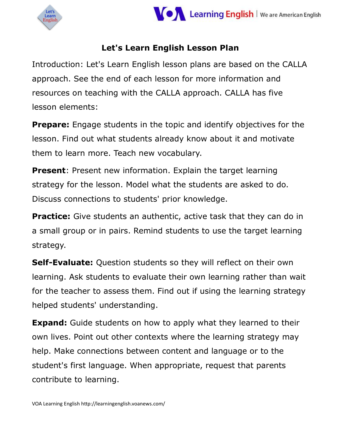



#### **Let's Learn English Lesson Plan**

Introduction: Let's Learn English lesson plans are based on the CALLA approach. See the end of each lesson for more information and resources on teaching with the CALLA approach. CALLA has five lesson elements:

**Prepare:** Engage students in the topic and identify objectives for the lesson. Find out what students already know about it and motivate them to learn more. Teach new vocabulary.

**Present**: Present new information. Explain the target learning strategy for the lesson. Model what the students are asked to do. Discuss connections to students' prior knowledge.

**Practice:** Give students an authentic, active task that they can do in a small group or in pairs. Remind students to use the target learning strategy.

**Self-Evaluate:** Question students so they will reflect on their own learning. Ask students to evaluate their own learning rather than wait for the teacher to assess them. Find out if using the learning strategy helped students' understanding.

**Expand:** Guide students on how to apply what they learned to their own lives. Point out other contexts where the learning strategy may help. Make connections between content and language or to the student's first language. When appropriate, request that parents contribute to learning.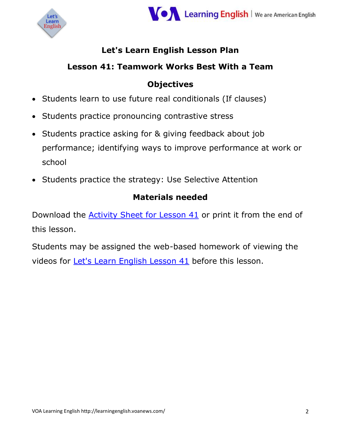



#### **Let's Learn English Lesson Plan**

#### **Lesson 41: Teamwork Works Best With a Team**

#### **Objectives**

- Students learn to use future real conditionals (If clauses)
- Students practice pronouncing contrastive stress
- Students practice asking for & giving feedback about job performance; identifying ways to improve performance at work or school
- Students practice the strategy: Use Selective Attention

#### **Materials needed**

Download the [Activity Sheet for Lesson 41](https://docs.voanews.eu/en-US-LEARN/2017/01/04/8c0f3ea1-2c33-409b-9144-2510e3c54962.pdf) or print it from the end of this lesson.

Students may be assigned the web-based homework of viewing the videos for [Let's Learn English Lesson 41](http://learningenglish.voanews.com/a/lets-learn-english-lesson-41-teamwork/3635015.html) before this lesson.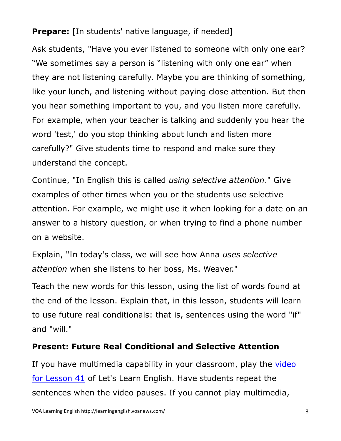#### **Prepare:** [In students' native language, if needed]

Ask students, "Have you ever listened to someone with only one ear? "We sometimes say a person is "listening with only one ear" when they are not listening carefully. Maybe you are thinking of something, like your lunch, and listening without paying close attention. But then you hear something important to you, and you listen more carefully. For example, when your teacher is talking and suddenly you hear the word 'test,' do you stop thinking about lunch and listen more carefully?" Give students time to respond and make sure they understand the concept.

Continue, "In English this is called *using selective attention*." Give examples of other times when you or the students use selective attention. For example, we might use it when looking for a date on an answer to a history question, or when trying to find a phone number on a website.

Explain, "In today's class, we will see how Anna *uses selective attention* when she listens to her boss, Ms. Weaver."

Teach the new words for this lesson, using the list of words found at the end of the lesson. Explain that, in this lesson, students will learn to use future real conditionals: that is, sentences using the word "if" and "will."

#### **Present: Future Real Conditional and Selective Attention**

If you have multimedia capability in your classroom, play the [video](http://learningenglish.voanews.com/a/lets-learn-english-lesson-41-teamwork/3664386.html)  [for Lesson 41](http://learningenglish.voanews.com/a/lets-learn-english-lesson-41-teamwork/3664386.html) of Let's Learn English. Have students repeat the sentences when the video pauses. If you cannot play multimedia,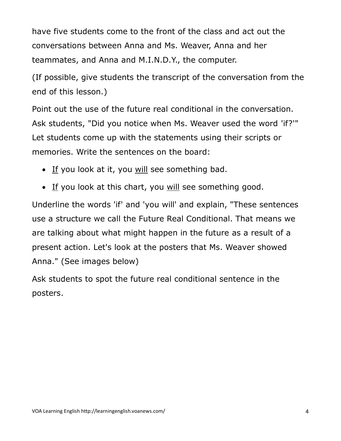have five students come to the front of the class and act out the conversations between Anna and Ms. Weaver, Anna and her teammates, and Anna and M.I.N.D.Y., the computer.

(If possible, give students the transcript of the conversation from the end of this lesson.)

Point out the use of the future real conditional in the conversation. Ask students, "Did you notice when Ms. Weaver used the word 'if?'" Let students come up with the statements using their scripts or memories. Write the sentences on the board:

- If you look at it, you will see something bad.
- If you look at this chart, you will see something good.

Underline the words 'if' and 'you will' and explain, "These sentences use a structure we call the Future Real Conditional. That means we are talking about what might happen in the future as a result of a present action. Let's look at the posters that Ms. Weaver showed Anna." (See images below)

Ask students to spot the future real conditional sentence in the posters.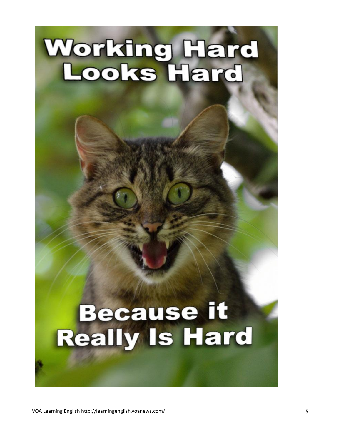# Working Hard<br>Looks Hard

### **Because it Really Is Hard**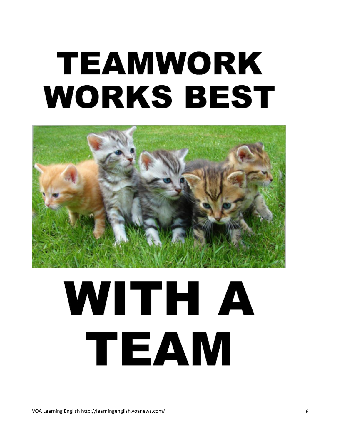## **TEAMWORK WORKS BEST**



# WITH A TEAM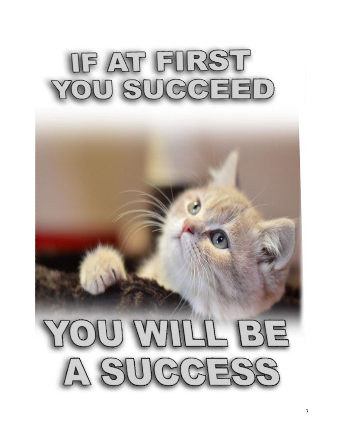## OF AT FORST YOU SUCCEED

# YOU MILL BE A SUCCESS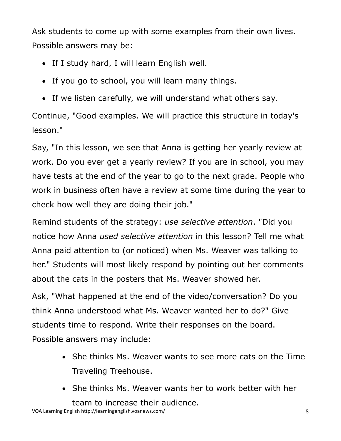Ask students to come up with some examples from their own lives. Possible answers may be:

- If I study hard, I will learn English well.
- If you go to school, you will learn many things.
- If we listen carefully, we will understand what others say.

Continue, "Good examples. We will practice this structure in today's lesson."

Say, "In this lesson, we see that Anna is getting her yearly review at work. Do you ever get a yearly review? If you are in school, you may have tests at the end of the year to go to the next grade. People who work in business often have a review at some time during the year to check how well they are doing their job."

Remind students of the strategy: *use selective attention*. "Did you notice how Anna *used selective attention* in this lesson? Tell me what Anna paid attention to (or noticed) when Ms. Weaver was talking to her." Students will most likely respond by pointing out her comments about the cats in the posters that Ms. Weaver showed her.

Ask, "What happened at the end of the video/conversation? Do you think Anna understood what Ms. Weaver wanted her to do?" Give students time to respond. Write their responses on the board. Possible answers may include:

- She thinks Ms. Weaver wants to see more cats on the Time Traveling Treehouse.
- She thinks Ms. Weaver wants her to work better with her team to increase their audience.

VOA Learning English http://learningenglish.voanews.com/ 8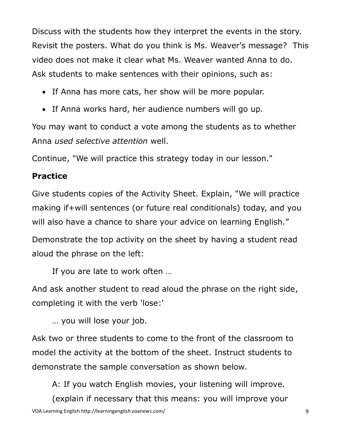Discuss with the students how they interpret the events in the story. Revisit the posters. What do you think is Ms. Weaver's message? This video does not make it clear what Ms. Weaver wanted Anna to do. Ask students to make sentences with their opinions, such as:

- If Anna has more cats, her show will be more popular.
- If Anna works hard, her audience numbers will go up.

You may want to conduct a vote among the students as to whether Anna *used selective attention* well.

Continue, "We will practice this strategy today in our lesson."

#### **Practice**

Give students copies of the Activity Sheet. Explain, "We will practice making if+will sentences (or future real conditionals) today, and you will also have a chance to share your advice on learning English."

Demonstrate the top activity on the sheet by having a student read aloud the phrase on the left:

If you are late to work often …

And ask another student to read aloud the phrase on the right side, completing it with the verb 'lose:'

… you will lose your job.

Ask two or three students to come to the front of the classroom to model the activity at the bottom of the sheet. Instruct students to demonstrate the sample conversation as shown below.

A: If you watch English movies, your listening will improve.

VOA Learning English http://learningenglish.voanews.com/ 9 (explain if necessary that this means: you will improve your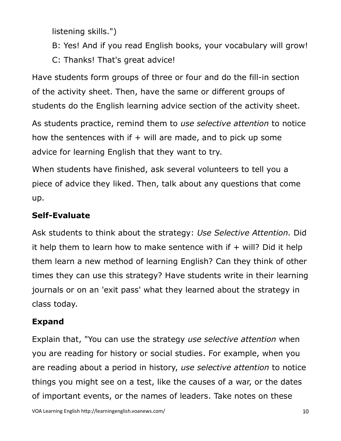listening skills.")

B: Yes! And if you read English books, your vocabulary will grow!

C: Thanks! That's great advice!

Have students form groups of three or four and do the fill-in section of the activity sheet. Then, have the same or different groups of students do the English learning advice section of the activity sheet.

As students practice, remind them to *use selective attention* to notice how the sentences with if  $+$  will are made, and to pick up some advice for learning English that they want to try.

When students have finished, ask several volunteers to tell you a piece of advice they liked. Then, talk about any questions that come up.

#### **Self-Evaluate**

Ask students to think about the strategy: *Use Selective Attention.* Did it help them to learn how to make sentence with if  $+$  will? Did it help them learn a new method of learning English? Can they think of other times they can use this strategy? Have students write in their learning journals or on an 'exit pass' what they learned about the strategy in class today.

#### **Expand**

Explain that, "You can use the strategy *use selective attention* when you are reading for history or social studies. For example, when you are reading about a period in history, *use selective attention* to notice things you might see on a test, like the causes of a war, or the dates of important events, or the names of leaders. Take notes on these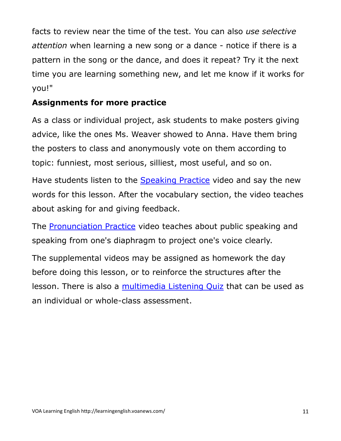facts to review near the time of the test. You can also *use selective attention* when learning a new song or a dance - notice if there is a pattern in the song or the dance, and does it repeat? Try it the next time you are learning something new, and let me know if it works for you!"

#### **Assignments for more practice**

As a class or individual project, ask students to make posters giving advice, like the ones Ms. Weaver showed to Anna. Have them bring the posters to class and anonymously vote on them according to topic: funniest, most serious, silliest, most useful, and so on.

Have students listen to the [Speaking Practice](http://learningenglish.voanews.com/a/lets-learn-english-lesson-41-spaking-practice/3664327.html) video and say the new words for this lesson. After the vocabulary section, the video teaches about asking for and giving feedback.

The [Pronunciation Practice](http://learningenglish.voanews.com/a/lets-learn-english-lesson-41-pronunciation-practice/3664340.html) video teaches about public speaking and speaking from one's diaphragm to project one's voice clearly.

The supplemental videos may be assigned as homework the day before doing this lesson, or to reinforce the structures after the lesson. There is also a [multimedia Listening Quiz](http://learningenglish.voanews.com/a/3664487.html) that can be used as an individual or whole-class assessment.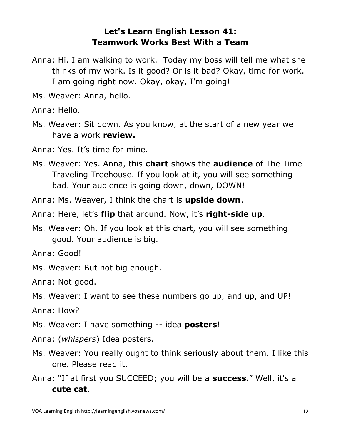#### **Let's Learn English Lesson 41: Teamwork Works Best With a Team**

- Anna: Hi. I am walking to work. Today my boss will tell me what she thinks of my work. Is it good? Or is it bad? Okay, time for work. I am going right now. Okay, okay, I'm going!
- Ms. Weaver: Anna, hello.

Anna: Hello.

Ms. Weaver: Sit down. As you know, at the start of a new year we have a work **review.**

Anna: Yes. It's time for mine.

Ms. Weaver: Yes. Anna, this **chart** shows the **audience** of The Time Traveling Treehouse. If you look at it, you will see something bad. Your audience is going down, down, DOWN!

Anna: Ms. Weaver, I think the chart is **upside down**.

Anna: Here, let's **flip** that around. Now, it's **right-side up**.

Ms. Weaver: Oh. If you look at this chart, you will see something good. Your audience is big.

Anna: Good!

Ms. Weaver: But not big enough.

Anna: Not good.

Ms. Weaver: I want to see these numbers go up, and up, and UP!

Anna: How?

Ms. Weaver: I have something -- idea **posters**!

Anna: (*whispers*) Idea posters.

- Ms. Weaver: You really ought to think seriously about them. I like this one. Please read it.
- Anna: "If at first you SUCCEED; you will be a **success.**" Well, it's a **cute cat**.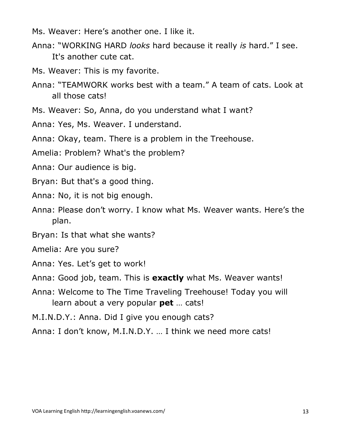- Ms. Weaver: Here's another one. I like it.
- Anna: "WORKING HARD *looks* hard because it really *is* hard." I see. It's another cute cat.
- Ms. Weaver: This is my favorite.
- Anna: "TEAMWORK works best with a team." A team of cats. Look at all those cats!
- Ms. Weaver: So, Anna, do you understand what I want?
- Anna: Yes, Ms. Weaver. I understand.
- Anna: Okay, team. There is a problem in the Treehouse.
- Amelia: Problem? What's the problem?
- Anna: Our audience is big.
- Bryan: But that's a good thing.
- Anna: No, it is not big enough.
- Anna: Please don't worry. I know what Ms. Weaver wants. Here's the plan.
- Bryan: Is that what she wants?
- Amelia: Are you sure?
- Anna: Yes. Let's get to work!
- Anna: Good job, team. This is **exactly** what Ms. Weaver wants!
- Anna: Welcome to The Time Traveling Treehouse! Today you will learn about a very popular **pet** … cats!
- M.I.N.D.Y.: Anna. Did I give you enough cats?
- Anna: I don't know, M.I.N.D.Y. … I think we need more cats!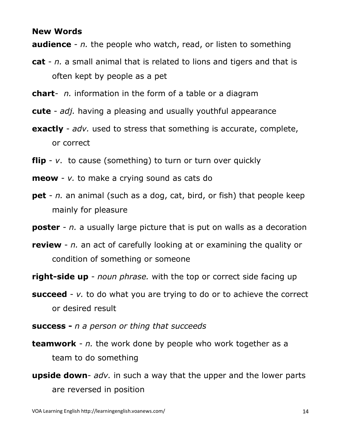#### **New Words**

**audience** - *n.* the people who watch, read, or listen to something

- **cat** *n.* a small animal that is related to lions and tigers and that is often kept by people as a pet
- **chart** *n.* information in the form of a table or a diagram
- **cute** *adj.* having a pleasing and usually youthful appearance
- **exactly** *adv.* used to stress that something is accurate, complete, or correct
- **flip** *v*. to cause (something) to turn or turn over quickly
- **meow** *v.* to make a crying sound as cats do
- **pet** *n.* an animal (such as a dog, cat, bird, or fish) that people keep mainly for pleasure
- **poster** *n.* a usually large picture that is put on walls as a decoration
- **review** *n.* an act of carefully looking at or examining the quality or condition of something or someone
- **right-side up** *noun phrase.* with the top or correct side facing up
- **succeed** *v*. to do what you are trying to do or to achieve the correct or desired result
- **success -** *n a person or thing that succeeds*
- **teamwork** *n.* the work done by people who work together as a team to do something
- **upside down** *adv.* in such a way that the upper and the lower parts are reversed in position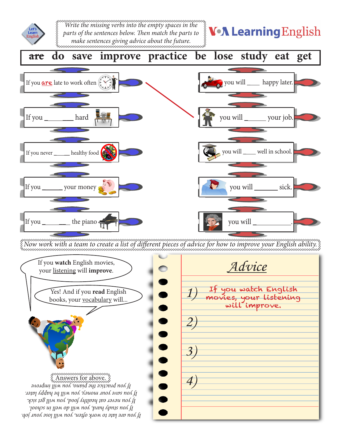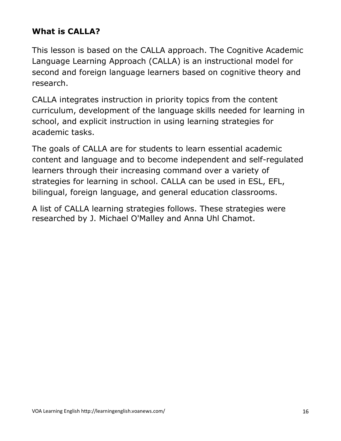#### **What is CALLA?**

This lesson is based on the CALLA approach. The Cognitive Academic Language Learning Approach (CALLA) is an instructional model for second and foreign language learners based on cognitive theory and research.

CALLA integrates instruction in priority topics from the content curriculum, development of the language skills needed for learning in school, and explicit instruction in using learning strategies for academic tasks.

The goals of CALLA are for students to learn essential academic content and language and to become independent and self-regulated learners through their increasing command over a variety of strategies for learning in school. CALLA can be used in ESL, EFL, bilingual, foreign language, and general education classrooms.

A list of CALLA learning strategies follows. These strategies were researched by J. Michael O'Malley and Anna Uhl Chamot.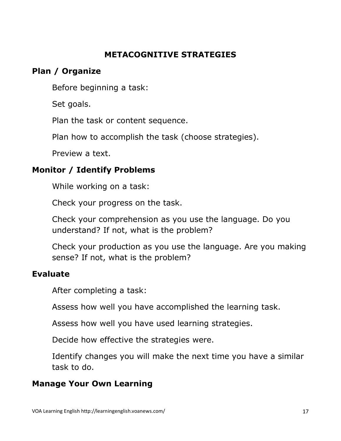#### **METACOGNITIVE STRATEGIES**

#### **Plan / Organize**

Before beginning a task:

Set goals.

Plan the task or content sequence.

Plan how to accomplish the task (choose strategies).

Preview a text.

#### **Monitor / Identify Problems**

While working on a task:

Check your progress on the task.

Check your comprehension as you use the language. Do you understand? If not, what is the problem?

Check your production as you use the language. Are you making sense? If not, what is the problem?

#### **Evaluate**

After completing a task:

Assess how well you have accomplished the learning task.

Assess how well you have used learning strategies.

Decide how effective the strategies were.

Identify changes you will make the next time you have a similar task to do.

#### **Manage Your Own Learning**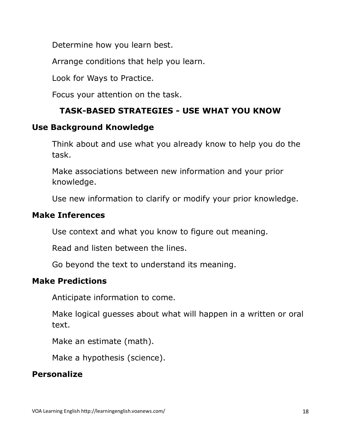Determine how you learn best.

Arrange conditions that help you learn.

Look for Ways to Practice.

Focus your attention on the task.

#### **TASK-BASED STRATEGIES - USE WHAT YOU KNOW**

#### **Use Background Knowledge**

Think about and use what you already know to help you do the task.

Make associations between new information and your prior knowledge.

Use new information to clarify or modify your prior knowledge.

#### **Make Inferences**

Use context and what you know to figure out meaning.

Read and listen between the lines.

Go beyond the text to understand its meaning.

#### **Make Predictions**

Anticipate information to come.

Make logical guesses about what will happen in a written or oral text.

Make an estimate (math).

Make a hypothesis (science).

#### **Personalize**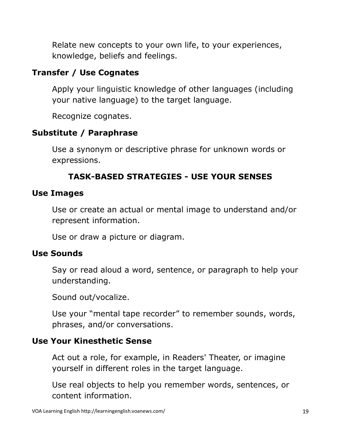Relate new concepts to your own life, to your experiences, knowledge, beliefs and feelings.

#### **Transfer / Use Cognates**

Apply your linguistic knowledge of other languages (including your native language) to the target language.

Recognize cognates.

#### **Substitute / Paraphrase**

Use a synonym or descriptive phrase for unknown words or expressions.

#### **TASK-BASED STRATEGIES - USE YOUR SENSES**

#### **Use Images**

Use or create an actual or mental image to understand and/or represent information.

Use or draw a picture or diagram.

#### **Use Sounds**

Say or read aloud a word, sentence, or paragraph to help your understanding.

Sound out/vocalize.

Use your "mental tape recorder" to remember sounds, words, phrases, and/or conversations.

#### **Use Your Kinesthetic Sense**

Act out a role, for example, in Readers' Theater, or imagine yourself in different roles in the target language.

Use real objects to help you remember words, sentences, or content information.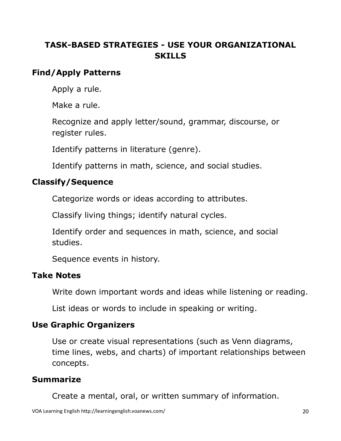#### **TASK-BASED STRATEGIES - USE YOUR ORGANIZATIONAL SKILLS**

#### **Find/Apply Patterns**

Apply a rule.

Make a rule.

Recognize and apply letter/sound, grammar, discourse, or register rules.

Identify patterns in literature (genre).

Identify patterns in math, science, and social studies.

#### **Classify/Sequence**

Categorize words or ideas according to attributes.

Classify living things; identify natural cycles.

Identify order and sequences in math, science, and social studies.

Sequence events in history.

#### **Take Notes**

Write down important words and ideas while listening or reading.

List ideas or words to include in speaking or writing.

#### **Use Graphic Organizers**

Use or create visual representations (such as Venn diagrams, time lines, webs, and charts) of important relationships between concepts.

#### **Summarize**

Create a mental, oral, or written summary of information.